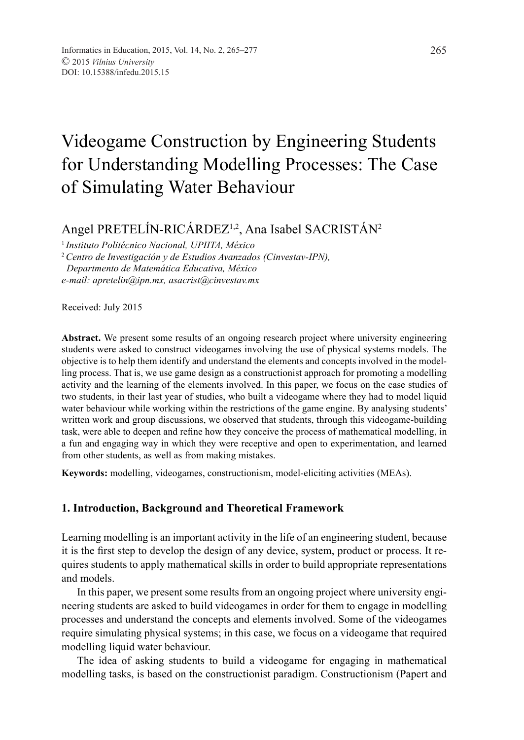# Videogame Construction by Engineering Students for Understanding Modelling Processes: The Case of Simulating Water Behaviour

Angel PRETELÍN-RICÁRDEZ<sup>1,2</sup>, Ana Isabel SACRISTÁN<sup>2</sup>

<sup>1</sup>*Instituto Politécnico Nacional, UPIITA, México*

<sup>2</sup>*Centro de Investigación y de Estudios Avanzados (Cinvestav-IPN), Departmento de Matemática Educativa, México*

*e-mail: apretelin@ipn.mx, asacrist@cinvestav.mx*

Received: July 2015

**Abstract.** We present some results of an ongoing research project where university engineering students were asked to construct videogames involving the use of physical systems models. The objective is to help them identify and understand the elements and concepts involved in the modelling process. That is, we use game design as a constructionist approach for promoting a modelling activity and the learning of the elements involved. In this paper, we focus on the case studies of two students, in their last year of studies, who built a videogame where they had to model liquid water behaviour while working within the restrictions of the game engine. By analysing students' written work and group discussions, we observed that students, through this videogame-building task, were able to deepen and refine how they conceive the process of mathematical modelling, in a fun and engaging way in which they were receptive and open to experimentation, and learned from other students, as well as from making mistakes.

**Keywords:** modelling, videogames, constructionism, model-eliciting activities (MEAs).

# **1. Introduction, Background and Theoretical Framework**

Learning modelling is an important activity in the life of an engineering student, because it is the first step to develop the design of any device, system, product or process. It requires students to apply mathematical skills in order to build appropriate representations and models.

In this paper, we present some results from an ongoing project where university engineering students are asked to build videogames in order for them to engage in modelling processes and understand the concepts and elements involved. Some of the videogames require simulating physical systems; in this case, we focus on a videogame that required modelling liquid water behaviour.

The idea of asking students to build a videogame for engaging in mathematical modelling tasks, is based on the constructionist paradigm. Constructionism (Papert and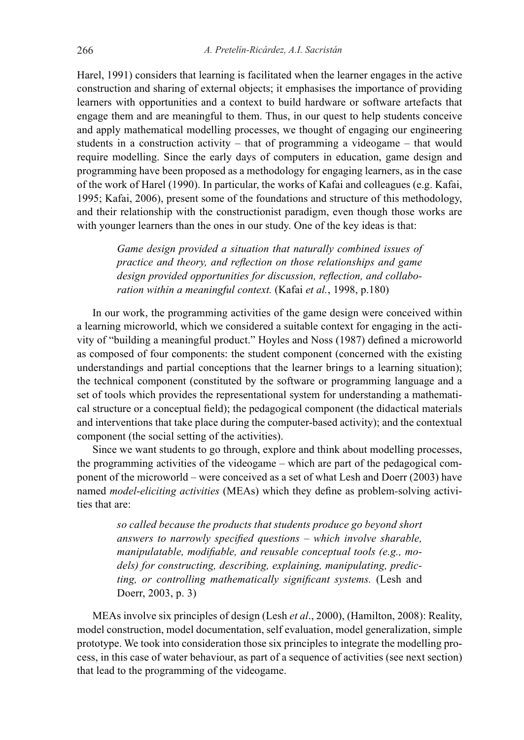Harel, 1991) considers that learning is facilitated when the learner engages in the active construction and sharing of external objects; it emphasises the importance of providing learners with opportunities and a context to build hardware or software artefacts that engage them and are meaningful to them. Thus, in our quest to help students conceive and apply mathematical modelling processes, we thought of engaging our engineering students in a construction activity – that of programming a videogame – that would require modelling. Since the early days of computers in education, game design and programming have been proposed as a methodology for engaging learners, as in the case of the work of Harel (1990). In particular, the works of Kafai and colleagues (e.g. Kafai, 1995; Kafai, 2006), present some of the foundations and structure of this methodology, and their relationship with the constructionist paradigm, even though those works are with younger learners than the ones in our study. One of the key ideas is that:

> *Game design provided a situation that naturally combined issues of practice and theory, and reflection on those relationships and game design provided opportunities for discussion, reflection, and collaboration within a meaningful context.* (Kafai *et al.*, 1998, p.180)

In our work, the programming activities of the game design were conceived within a learning microworld, which we considered a suitable context for engaging in the activity of "building a meaningful product." Hoyles and Noss (1987) defined a microworld as composed of four components: the student component (concerned with the existing understandings and partial conceptions that the learner brings to a learning situation); the technical component (constituted by the software or programming language and a set of tools which provides the representational system for understanding a mathematical structure or a conceptual field); the pedagogical component (the didactical materials and interventions that take place during the computer-based activity); and the contextual component (the social setting of the activities).

Since we want students to go through, explore and think about modelling processes, the programming activities of the videogame – which are part of the pedagogical component of the microworld – were conceived as a set of what Lesh and Doerr (2003) have named *model-eliciting activities* (MEAs) which they define as problem*-*solving activities that are:

> *so called because the products that students produce go beyond short answers to narrowly specified questions – which involve sharable, manipulatable, modifiable, and reusable conceptual tools (e.g., models) for constructing, describing, explaining, manipulating, predicting, or controlling mathematically significant systems.* (Lesh and Doerr, 2003, p. 3)

MEAs involve six principles of design (Lesh *et al*., 2000), (Hamilton, 2008): Reality, model construction, model documentation, self evaluation, model generalization, simple prototype. We took into consideration those six principles to integrate the modelling process, in this case of water behaviour, as part of a sequence of activities (see next section) that lead to the programming of the videogame.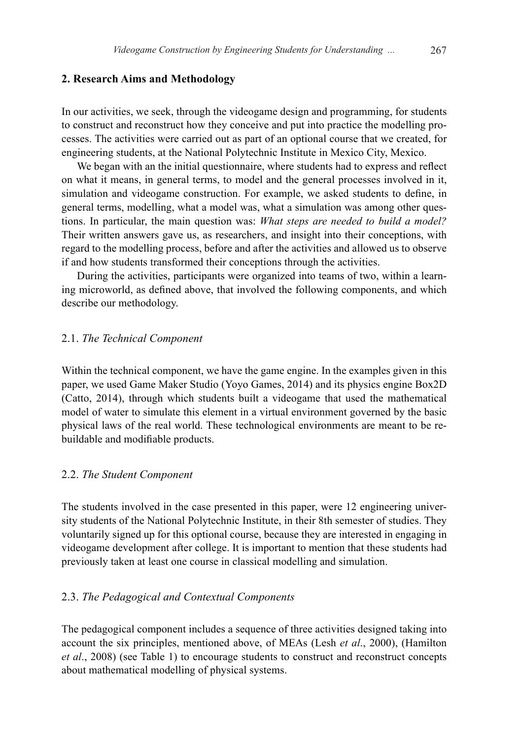# **2. Research Aims and Methodology**

In our activities, we seek, through the videogame design and programming, for students to construct and reconstruct how they conceive and put into practice the modelling processes. The activities were carried out as part of an optional course that we created, for engineering students, at the National Polytechnic Institute in Mexico City, Mexico.

We began with an the initial questionnaire, where students had to express and reflect on what it means, in general terms, to model and the general processes involved in it, simulation and videogame construction. For example, we asked students to define, in general terms, modelling, what a model was, what a simulation was among other questions. In particular, the main question was: *What steps are needed to build a model?* Their written answers gave us, as researchers, and insight into their conceptions, with regard to the modelling process, before and after the activities and allowed us to observe if and how students transformed their conceptions through the activities.

During the activities, participants were organized into teams of two, within a learning microworld, as defined above, that involved the following components, and which describe our methodology.

#### 2.1. *The Technical Component*

Within the technical component, we have the game engine. In the examples given in this paper, we used Game Maker Studio (Yoyo Games, 2014) and its physics engine Box2D (Catto, 2014), through which students built a videogame that used the mathematical model of water to simulate this element in a virtual environment governed by the basic physical laws of the real world. These technological environments are meant to be rebuildable and modifiable products.

#### 2.2. *The Student Component*

The students involved in the case presented in this paper, were 12 engineering university students of the National Polytechnic Institute, in their 8th semester of studies. They voluntarily signed up for this optional course, because they are interested in engaging in videogame development after college. It is important to mention that these students had previously taken at least one course in classical modelling and simulation.

# 2.3. *The Pedagogical and Contextual Components*

The pedagogical component includes a sequence of three activities designed taking into account the six principles, mentioned above, of MEAs (Lesh *et al*., 2000), (Hamilton *et al*., 2008) (see Table 1) to encourage students to construct and reconstruct concepts about mathematical modelling of physical systems.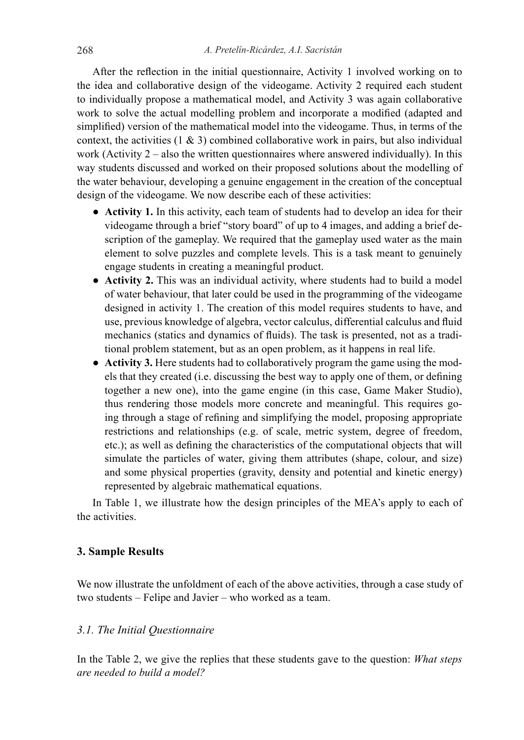After the reflection in the initial questionnaire, Activity 1 involved working on to the idea and collaborative design of the videogame. Activity 2 required each student to individually propose a mathematical model, and Activity 3 was again collaborative work to solve the actual modelling problem and incorporate a modified (adapted and simplified) version of the mathematical model into the videogame. Thus, in terms of the context, the activities  $(1 \& 3)$  combined collaborative work in pairs, but also individual work (Activity  $2 -$  also the written questionnaires where answered individually). In this way students discussed and worked on their proposed solutions about the modelling of the water behaviour, developing a genuine engagement in the creation of the conceptual design of the videogame. We now describe each of these activities:

- **Activity 1.** In this activity, each team of students had to develop an idea for their videogame through a brief "story board" of up to 4 images, and adding a brief description of the gameplay. We required that the gameplay used water as the main element to solve puzzles and complete levels. This is a task meant to genuinely engage students in creating a meaningful product.
- **Activity 2.** This was an individual activity, where students had to build a model of water behaviour, that later could be used in the programming of the videogame designed in activity 1. The creation of this model requires students to have, and use, previous knowledge of algebra, vector calculus, differential calculus and fluid mechanics (statics and dynamics of fluids). The task is presented, not as a traditional problem statement, but as an open problem, as it happens in real life.
- **Activity 3.** Here students had to collaboratively program the game using the models that they created (i.e. discussing the best way to apply one of them, or defining together a new one), into the game engine (in this case, Game Maker Studio), thus rendering those models more concrete and meaningful. This requires going through a stage of refining and simplifying the model, proposing appropriate restrictions and relationships (e.g. of scale, metric system, degree of freedom, etc.); as well as defining the characteristics of the computational objects that will simulate the particles of water, giving them attributes (shape, colour, and size) and some physical properties (gravity, density and potential and kinetic energy) represented by algebraic mathematical equations.

In Table 1, we illustrate how the design principles of the MEA's apply to each of the activities.

# **3. Sample Results**

We now illustrate the unfoldment of each of the above activities, through a case study of two students – Felipe and Javier – who worked as a team.

### *3.1. The Initial Questionnaire*

In the Table 2, we give the replies that these students gave to the question: *What steps are needed to build a model?*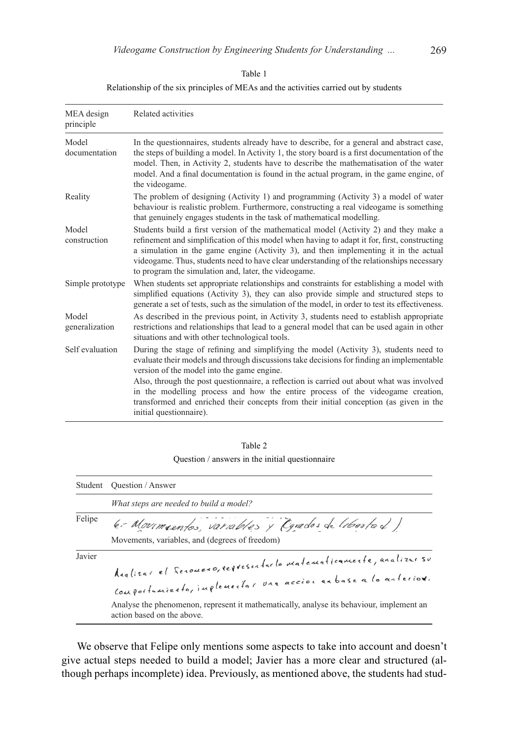| ×<br>т.<br>×<br>v | ٠<br>۰,<br>× |  |
|-------------------|--------------|--|
|                   |              |  |

| MEA design<br>principle | Related activities                                                                                                                                                                                                                                                                                                                                                                                                                 |
|-------------------------|------------------------------------------------------------------------------------------------------------------------------------------------------------------------------------------------------------------------------------------------------------------------------------------------------------------------------------------------------------------------------------------------------------------------------------|
| Model<br>documentation  | In the questionnaires, students already have to describe, for a general and abstract case,<br>the steps of building a model. In Activity 1, the story board is a first documentation of the<br>model. Then, in Activity 2, students have to describe the mathematisation of the water<br>model. And a final documentation is found in the actual program, in the game engine, of<br>the videogame.                                 |
| Reality                 | The problem of designing (Activity 1) and programming (Activity 3) a model of water<br>behaviour is realistic problem. Furthermore, constructing a real videogame is something<br>that genuinely engages students in the task of mathematical modelling.                                                                                                                                                                           |
| Model<br>construction   | Students build a first version of the mathematical model (Activity 2) and they make a<br>refinement and simplification of this model when having to adapt it for, first, constructing<br>a simulation in the game engine (Activity 3), and then implementing it in the actual<br>videogame. Thus, students need to have clear understanding of the relationships necessary<br>to program the simulation and, later, the videogame. |
| Simple prototype        | When students set appropriate relationships and constraints for establishing a model with<br>simplified equations (Activity 3), they can also provide simple and structured steps to<br>generate a set of tests, such as the simulation of the model, in order to test its effectiveness.                                                                                                                                          |
| Model<br>generalization | As described in the previous point, in Activity 3, students need to establish appropriate<br>restrictions and relationships that lead to a general model that can be used again in other<br>situations and with other technological tools.                                                                                                                                                                                         |

#### Relationship of the six principles of MEAs and the activities carried out by students

Self evaluation During the stage of refining and simplifying the model (Activity 3), students need to evaluate their models and through discussions take decisions for finding an implementable version of the model into the game engine. Also, through the post questionnaire, a reflection is carried out about what was involved

in the modelling process and how the entire process of the videogame creation, transformed and enriched their concepts from their initial conception (as given in the initial questionnaire).

| Table 2                                         |
|-------------------------------------------------|
| Question / answers in the initial questionnaire |

|        | Student Ouestion / Answer                                                                                                      |
|--------|--------------------------------------------------------------------------------------------------------------------------------|
|        | What steps are needed to build a model?                                                                                        |
| Felipe | 6-Moumsentos, variables y Carados de libertad)                                                                                 |
|        | Movements, variables, and (degrees of freedom)                                                                                 |
| Javier | Analizar el Serouero, representarlo matematicamente, analizar se<br>Conformiento, inflementar var accion enbase a lo anterior. |
|        | Analyse the phenomenon, represent it mathematically, analyse its behaviour, implement an<br>action based on the above.         |

We observe that Felipe only mentions some aspects to take into account and doesn't give actual steps needed to build a model; Javier has a more clear and structured (although perhaps incomplete) idea. Previously, as mentioned above, the students had stud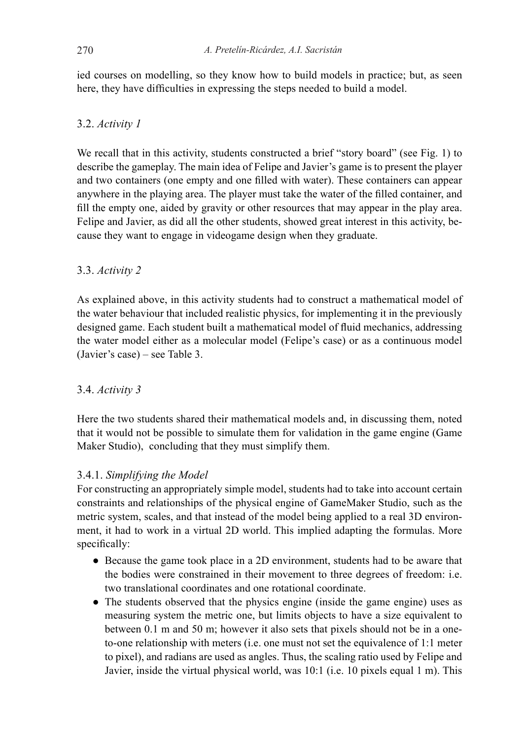ied courses on modelling, so they know how to build models in practice; but, as seen here, they have difficulties in expressing the steps needed to build a model.

# 3.2. *Activity 1*

We recall that in this activity, students constructed a brief "story board" (see Fig. 1) to describe the gameplay. The main idea of Felipe and Javier's game is to present the player and two containers (one empty and one filled with water). These containers can appear anywhere in the playing area. The player must take the water of the filled container, and fill the empty one, aided by gravity or other resources that may appear in the play area. Felipe and Javier, as did all the other students, showed great interest in this activity, because they want to engage in videogame design when they graduate.

# 3.3. *Activity 2*

As explained above, in this activity students had to construct a mathematical model of the water behaviour that included realistic physics, for implementing it in the previously designed game. Each student built a mathematical model of fluid mechanics, addressing the water model either as a molecular model (Felipe's case) or as a continuous model (Javier's case) – see Table 3.

# 3.4. *Activity 3*

Here the two students shared their mathematical models and, in discussing them, noted that it would not be possible to simulate them for validation in the game engine (Game Maker Studio), concluding that they must simplify them.

# 3.4.1. *Simplifying the Model*

For constructing an appropriately simple model, students had to take into account certain constraints and relationships of the physical engine of GameMaker Studio, such as the metric system, scales, and that instead of the model being applied to a real 3D environment, it had to work in a virtual 2D world. This implied adapting the formulas. More specifically:

- Because the game took place in a 2D environment, students had to be aware that the bodies were constrained in their movement to three degrees of freedom: i.e. two translational coordinates and one rotational coordinate.
- The students observed that the physics engine (inside the game engine) uses as measuring system the metric one, but limits objects to have a size equivalent to between 0.1 m and 50 m; however it also sets that pixels should not be in a oneto-one relationship with meters (i.e. one must not set the equivalence of 1:1 meter to pixel), and radians are used as angles. Thus, the scaling ratio used by Felipe and Javier, inside the virtual physical world, was 10:1 (i.e. 10 pixels equal 1 m). This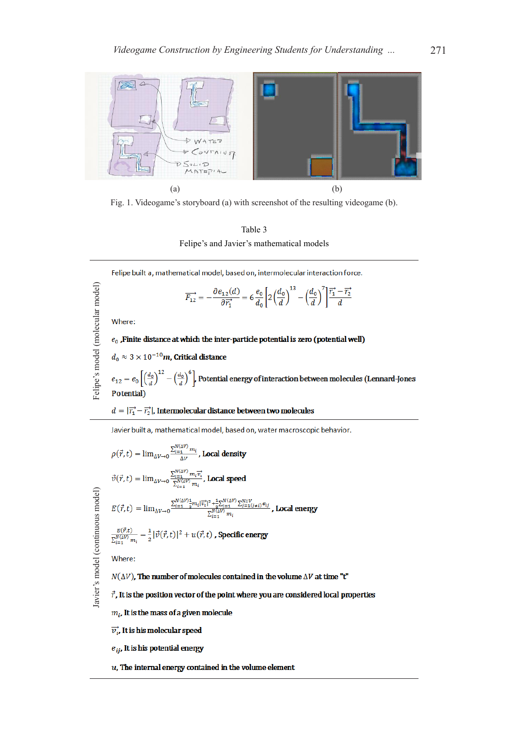

Fig. 1. Videogame's storyboard (a) with screenshot of the resulting videogame (b).



 $\overline{a}$ 

Felipe built a, mathematical model, based on, intermolecular interaction force.

$$
\overline{F_{12}} = -\frac{\partial e_{12}(d)}{\partial \overline{r_1}^*} = 6 \frac{e_0}{d_0} \left[ 2 \left( \frac{d_0}{d} \right)^{13} - \left( \frac{d_0}{d} \right)' \right] \frac{\overline{r_1}^* - \overline{r_2}^*}{d}
$$
\nWhere:

\n
$$
e_0 \text{ .} \text{Finite distance at which the inter-particle potential is zero (potential well)}
$$
\n
$$
d_0 \approx 3 \times 10^{-10} m, \text{ Critical distance}
$$

Felipe's model (molecular model) Felipe's model (molecular model)  $e_{12}=e_0\left[\left(\frac{d_0}{d}\right)^{12}-\left(\frac{d_0}{d}\right)^6\right]$  Potential energy of interaction between molecules (Lennard-Jones Potential)

### $d=|\overrightarrow{r_{1}}-\overrightarrow{r_{2}}|$  , Intermolecular distance between two molecules

Javier built a, mathematical model, based on, water macroscopic behavior.

$$
\rho(\vec{r},t) = \lim_{\Delta V \to 0} \sum_{i=1}^{N_{i(\Delta V)}(M)} \sum_{m_i} \text{Local density}
$$
\n
$$
\vec{v}(\vec{r},t) = \lim_{\Delta V \to 0} \sum_{i=1}^{N_{i(\Delta V)}(M)} \sum_{m_i}^{N_{i(\Delta V)}} \text{Local speed}
$$
\n
$$
\frac{\vec{v}}{2} \vec{v}(\vec{r},t) = \lim_{\Delta V \to 0} \sum_{i=1}^{N_{i(\Delta V)}(M)} \sum_{m_i}^{N_{i(\Delta V)}(M)} \sum_{j=1}^{N_{i(\Delta V)}} \sum_{j=1}^{N_{i(\Delta V)}} \text{Local energy}
$$
\n
$$
E(\vec{r},t) = \lim_{\Delta V \to 0} \frac{\sum_{i=1}^{N_{i(\Delta V)}(M)} \sum_{j=1}^{N_{i(\Delta V)}(M)} \sum_{j=1}^{N_{i(\Delta V)}} \sum_{j=1}^{N_{i(\Delta V)}} \text{Local energy}
$$
\n
$$
\frac{E(\vec{r},t)}{\sum_{i=1}^{N_{i(\Delta V)}(M)}} = \frac{1}{2} |\vec{v}(\vec{r},t)|^2 + u(\vec{r},t) \text{ , Specific energy}
$$
\n
$$
\text{Where:}
$$
\n
$$
N(\Delta V), \text{ The number of molecules contained in the volume } \Delta V \text{ at time "t"}
$$
\n
$$
\vec{r}, \text{ It is the position vector of the point where you are considered local properties}
$$
\n
$$
m_i, \text{ It is the mass of a given molecule}
$$

 $e_{ij}$ , It is his potential energy

 $u$ , The internal energy contained in the volume element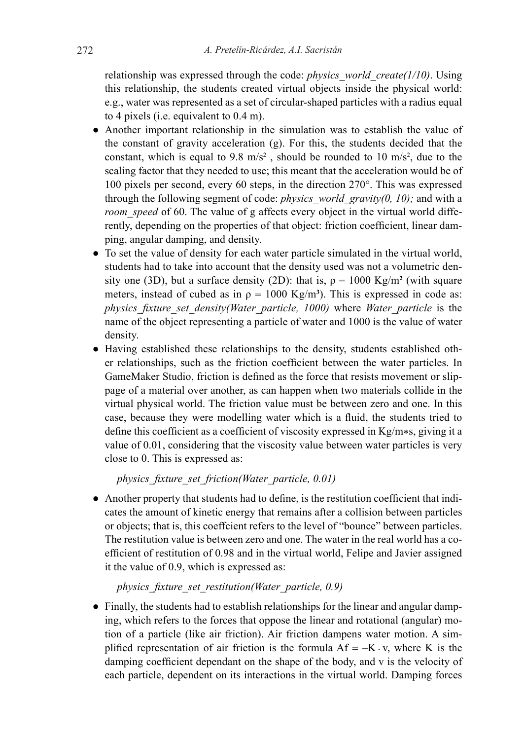relationship was expressed through the code: *physics\_world\_create(1/10)*. Using this relationship, the students created virtual objects inside the physical world: e.g., water was represented as a set of circular-shaped particles with a radius equal to 4 pixels (i.e. equivalent to 0.4 m).

- Another important relationship in the simulation was to establish the value of the constant of gravity acceleration (g). For this, the students decided that the constant, which is equal to 9.8 m/s<sup>2</sup>, should be rounded to 10 m/s<sup>2</sup>, due to the scaling factor that they needed to use; this meant that the acceleration would be of 100 pixels per second, every 60 steps, in the direction 270°. This was expressed through the following segment of code: *physics\_world\_gravity(0, 10);* and with a *room* speed of 60. The value of g affects every object in the virtual world differently, depending on the properties of that object: friction coefficient, linear damping, angular damping, and density.
- To set the value of density for each water particle simulated in the virtual world, students had to take into account that the density used was not a volumetric density one (3D), but a surface density (2D): that is,  $\rho = 1000 \text{ Kg/m}^2$  (with square meters, instead of cubed as in  $\rho = 1000 \text{ Kg/m}^3$ ). This is expressed in code as: *physics\_fixture\_set\_density(Water\_particle, 1000)* where *Water\_particle* is the name of the object representing a particle of water and 1000 is the value of water density.
- Having established these relationships to the density, students established other relationships, such as the friction coefficient between the water particles. In GameMaker Studio, friction is defined as the force that resists movement or slippage of a material over another, as can happen when two materials collide in the virtual physical world. The friction value must be between zero and one. In this case, because they were modelling water which is a fluid, the students tried to define this coefficient as a coefficient of viscosity expressed in  $Kg/m*s$ , giving it a value of 0.01, considering that the viscosity value between water particles is very close to 0. This is expressed as:

*physics\_fixture\_set\_friction(Water\_particle, 0.01)*

● Another property that students had to define, is the restitution coefficient that indicates the amount of kinetic energy that remains after a collision between particles or objects; that is, this coeffcient refers to the level of "bounce" between particles. The restitution value is between zero and one. The water in the real world has a coefficient of restitution of 0.98 and in the virtual world, Felipe and Javier assigned it the value of 0.9, which is expressed as:

*physics\_fixture\_set\_restitution(Water\_particle, 0.9)*

● Finally, the students had to establish relationships for the linear and angular damping, which refers to the forces that oppose the linear and rotational (angular) motion of a particle (like air friction). Air friction dampens water motion. A simplified representation of air friction is the formula  $Af = -K \cdot v$ , where K is the damping coefficient dependant on the shape of the body, and v is the velocity of each particle, dependent on its interactions in the virtual world. Damping forces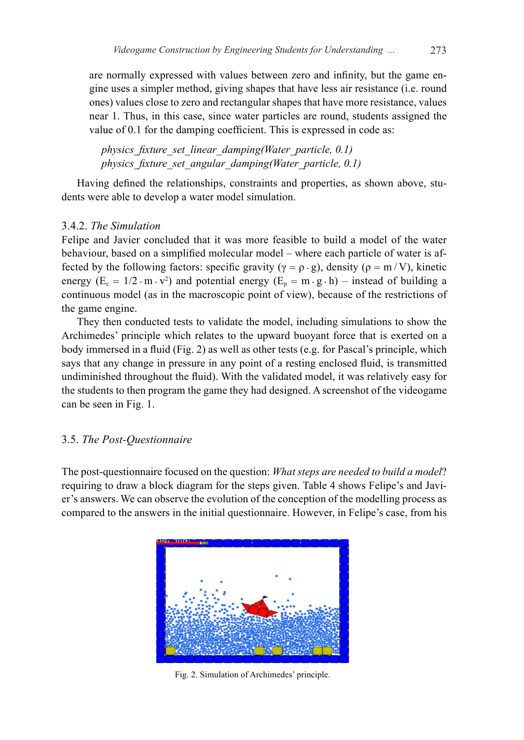are normally expressed with values between zero and infinity, but the game engine uses a simpler method, giving shapes that have less air resistance (i.e. round ones) values close to zero and rectangular shapes that have more resistance, values near 1. Thus, in this case, since water particles are round, students assigned the value of 0.1 for the damping coefficient. This is expressed in code as:

*physics\_fixture\_set\_linear\_damping(Water\_particle, 0.1) physics\_fixture\_set\_angular\_damping(Water\_particle, 0.1)*

Having defined the relationships, constraints and properties, as shown above, students were able to develop a water model simulation.

# 3.4.2. *The Simulation*

Felipe and Javier concluded that it was more feasible to build a model of the water behaviour, based on a simplified molecular model – where each particle of water is affected by the following factors: specific gravity ( $\gamma = \rho \cdot g$ ), density ( $\rho = m/V$ ), kinetic energy  $(E_c = 1/2 \cdot m \cdot v^2)$  and potential energy  $(E_p = m \cdot g \cdot h)$  – instead of building a continuous model (as in the macroscopic point of view), because of the restrictions of the game engine.

They then conducted tests to validate the model, including simulations to show the Archimedes' principle which relates to the upward buoyant force that is exerted on a body immersed in a fluid (Fig. 2) as well as other tests (e.g. for Pascal's principle, which says that any change in pressure in any point of a resting enclosed fluid, is transmitted undiminished throughout the fluid). With the validated model, it was relatively easy for the students to then program the game they had designed. A screenshot of the videogame can be seen in Fig. 1.

#### 3.5. *The Post-Questionnaire*

The post-questionnaire focused on the question: *What steps are needed to build a model*? requiring to draw a block diagram for the steps given. Table 4 shows Felipe's and Javier's answers. We can observe the evolution of the conception of the modelling process as compared to the answers in the initial questionnaire. However, in Felipe's case, from his



Fig. 2. Simulation of Archimedes' principle.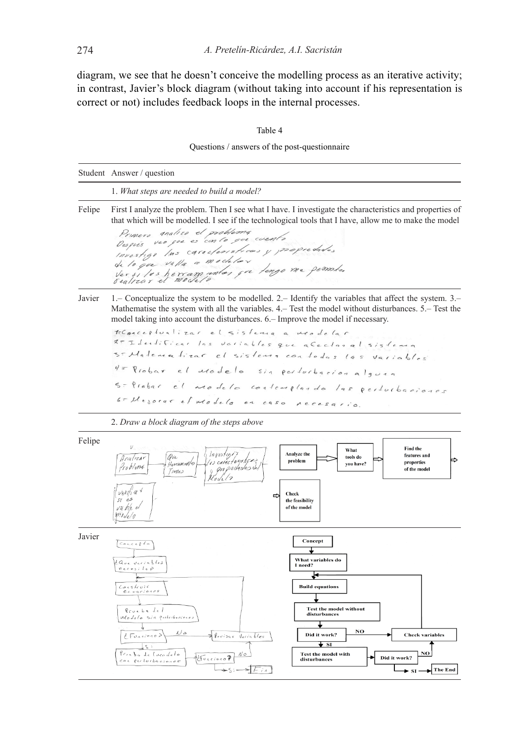diagram, we see that he doesn't conceive the modelling process as an iterative activity; in contrast, Javier's block diagram (without taking into account if his representation is correct or not) includes feedback loops in the internal processes.

| ۰,<br>I |  |
|---------|--|
|---------|--|

Questions / answers of the post-questionnaire

|        | Student Answer / question                                                                                                                                                                                                                                                                                                                                                                                                                                                                                                                                                                                                                                  |
|--------|------------------------------------------------------------------------------------------------------------------------------------------------------------------------------------------------------------------------------------------------------------------------------------------------------------------------------------------------------------------------------------------------------------------------------------------------------------------------------------------------------------------------------------------------------------------------------------------------------------------------------------------------------------|
|        | 1. What steps are needed to build a model?                                                                                                                                                                                                                                                                                                                                                                                                                                                                                                                                                                                                                 |
| Felipe | First I analyze the problem. Then I see what I have. I investigate the characteristics and properties of<br>that which will be modelled. I see if the technological tools that I have, allow me to make the model<br>analize el problema<br>Primero<br>Després veo que es con lo que cuento<br>investige las caracteristices y proprededes<br>de lo que valla a modelar<br>Versiles herram untes que lengo me pennier<br>sealizar el moder                                                                                                                                                                                                                 |
| Javier | 1. Conceptualize the system to be modelled. 2. - Identify the variables that affect the system. 3.<br>Mathematise the system with all the variables. 4. Test the model without disturbances. 5. Test the<br>model taking into account the disturbances. 6. – Improve the model if necessary.<br>teConceptualizar el sistema a modelar<br>2- Identificar las variables que a Ceclar al sistema<br>s-Matematizar el sistema con todas las<br>Varia<br>$4 = Rrobar$ el $1000$ elo<br>Sin perforbacion alguna<br>S- Probar el aradela contemplando las perfucbaciones<br>6- Mejorar el modelo en caso necesario.<br>2. Draw a block diagram of the steps above |
| Felipe | V.<br>Find the<br>What<br>Analyze the<br>$\frac{1}{2}$ Investige?<br>features and<br>Ove<br>tools do<br>Anulizar<br>(is caracteristica)<br>problem<br>properties<br>Herram rentos<br>you have?<br>Problima<br>proprededes des<br>of the model<br>Times<br>veritia <sup>1</sup><br><b>Check</b><br>⇨<br>$st$ es<br>the feasibility<br>vu ble el<br>of the model<br>mo de /o                                                                                                                                                                                                                                                                                 |
| Javier | Concept<br>$\sqrt{C_0}$<br>What variables do<br><i>LQue Variables</i><br>I need?<br>$n$ eces; $l_0$ $\rho$<br>₩<br>Construit<br><b>Build equations</b><br>$ecuaci\$<br><b>Test the model without</b><br>Revebe del<br>disturbances<br>Modelo sia poderbaciones<br>╈<br>NO<br>んる<br>Revisar Variables<br>Did it work?<br><b>Check variables</b><br>d Forcinad<br>$\overline{\mathbf{v}}$ si<br>ζ<br>NO<br>Procha de lucadelo<br><b>Test the model with</b><br>Conciona?<br>Did it work?<br>disturbances<br>con perforbaciones<br>$\blacktriangleright$ The End<br>$\sum_{i=1}^{n}$<br>$\bullet$ st.                                                         |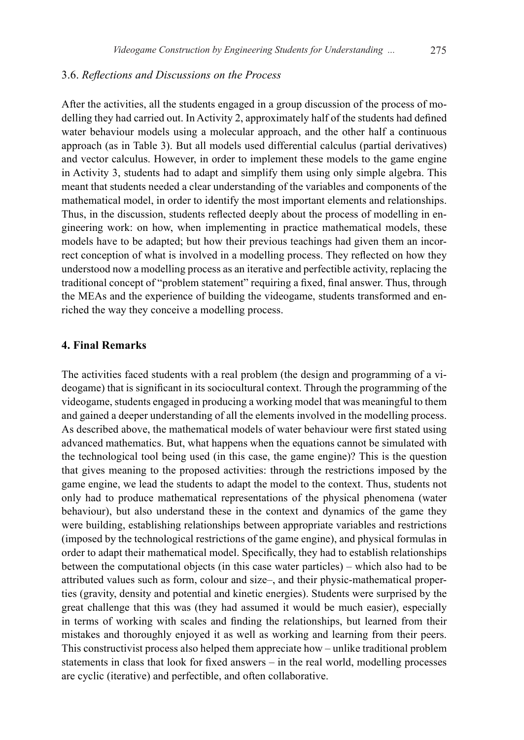### 3.6. *Reflections and Discussions on the Process*

After the activities, all the students engaged in a group discussion of the process of modelling they had carried out. In Activity 2, approximately half of the students had defined water behaviour models using a molecular approach, and the other half a continuous approach (as in Table 3). But all models used differential calculus (partial derivatives) and vector calculus. However, in order to implement these models to the game engine in Activity 3, students had to adapt and simplify them using only simple algebra. This meant that students needed a clear understanding of the variables and components of the mathematical model, in order to identify the most important elements and relationships. Thus, in the discussion, students reflected deeply about the process of modelling in engineering work: on how, when implementing in practice mathematical models, these models have to be adapted; but how their previous teachings had given them an incorrect conception of what is involved in a modelling process. They reflected on how they understood now a modelling process as an iterative and perfectible activity, replacing the traditional concept of "problem statement" requiring a fixed, final answer. Thus, through the MEAs and the experience of building the videogame, students transformed and enriched the way they conceive a modelling process.

# **4. Final Remarks**

The activities faced students with a real problem (the design and programming of a videogame) that is significant in its sociocultural context. Through the programming of the videogame, students engaged in producing a working model that was meaningful to them and gained a deeper understanding of all the elements involved in the modelling process. As described above, the mathematical models of water behaviour were first stated using advanced mathematics. But, what happens when the equations cannot be simulated with the technological tool being used (in this case, the game engine)? This is the question that gives meaning to the proposed activities: through the restrictions imposed by the game engine, we lead the students to adapt the model to the context. Thus, students not only had to produce mathematical representations of the physical phenomena (water behaviour), but also understand these in the context and dynamics of the game they were building, establishing relationships between appropriate variables and restrictions (imposed by the technological restrictions of the game engine), and physical formulas in order to adapt their mathematical model. Specifically, they had to establish relationships between the computational objects (in this case water particles) – which also had to be attributed values such as form, colour and size–, and their physic-mathematical properties (gravity, density and potential and kinetic energies). Students were surprised by the great challenge that this was (they had assumed it would be much easier), especially in terms of working with scales and finding the relationships, but learned from their mistakes and thoroughly enjoyed it as well as working and learning from their peers. This constructivist process also helped them appreciate how – unlike traditional problem statements in class that look for fixed answers – in the real world, modelling processes are cyclic (iterative) and perfectible, and often collaborative.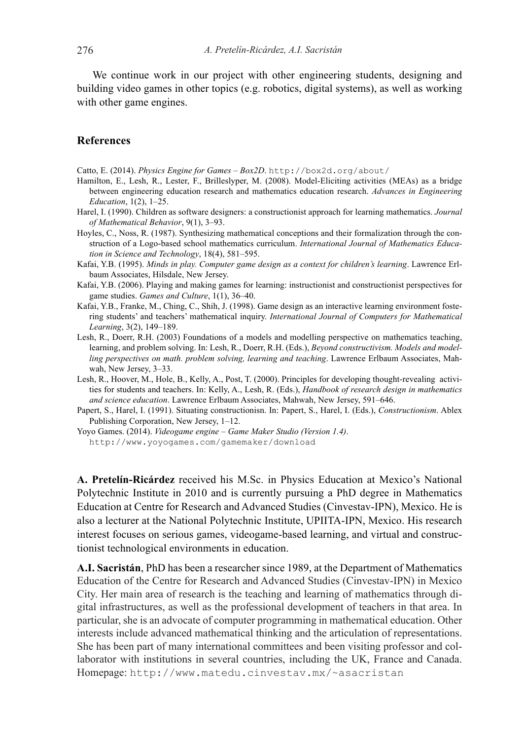We continue work in our project with other engineering students, designing and building video games in other topics (e.g. robotics, digital systems), as well as working with other game engines.

# **References**

Catto, E. (2014). *Physics Engine for Games – Box2D*. http://box2d.org/about/

- Hamilton, E., Lesh, R., Lester, F., Brilleslyper, M. (2008). Model-Eliciting activities (MEAs) as a bridge between engineering education research and mathematics education research. *Advances in Engineering Education*, 1(2), 1–25.
- Harel, I. (1990). Children as software designers: a constructionist approach for learning mathematics. *Journal of Mathematical Behavior*, 9(1), 3–93.
- Hoyles, C., Noss, R. (1987). Synthesizing mathematical conceptions and their formalization through the construction of a Logo-based school mathematics curriculum. *International Journal of Mathematics Education in Science and Technology*, 18(4), 581–595.
- Kafai, Y.B. (1995). *Minds in play. Computer game design as a context for children's learning*. Lawrence Erlbaum Associates, Hilsdale, New Jersey.
- Kafai, Y.B. (2006). Playing and making games for learning: instructionist and constructionist perspectives for game studies. *Games and Culture*, 1(1), 36–40.
- Kafai, Y.B., Franke, M., Ching, C., Shih, J. (1998). Game design as an interactive learning environment fostering students' and teachers' mathematical inquiry. *International Journal of Computers for Mathematical Learning*, 3(2), 149–189.
- Lesh, R., Doerr, R.H. (2003) Foundations of a models and modelling perspective on mathematics teaching, learning, and problem solving. In: Lesh, R., Doerr, R.H. (Eds.), *Beyond constructivism. Models and modelling perspectives on math. problem solving, learning and teaching*. Lawrence Erlbaum Associates, Mahwah, New Jersey, 3–33.
- Lesh, R., Hoover, M., Hole, B., Kelly, A., Post, T. (2000). Principles for developing thought-revealing activities for students and teachers. In: Kelly, A., Lesh, R. (Eds.), *Handbook of research design in mathematics and science education*. Lawrence Erlbaum Associates, Mahwah, New Jersey, 591–646.
- Papert, S., Harel, I. (1991). Situating constructionisn. In: Papert, S., Harel, I. (Eds.), *Constructionism*. Ablex Publishing Corporation, New Jersey, 1–12.
- Yoyo Games. (2014). *Videogame engine Game Maker Studio (Version 1.4)*. http://www.yoyogames.com/gamemaker/download

**A. Pretelín-Ricárdez** received his M.Sc. in Physics Education at Mexico's National Polytechnic Institute in 2010 and is currently pursuing a PhD degree in Mathematics Education at Centre for Research and Advanced Studies (Cinvestav-IPN), Mexico. He is also a lecturer at the National Polytechnic Institute, UPIITA-IPN, Mexico. His research interest focuses on serious games, videogame-based learning, and virtual and constructionist technological environments in education.

**A.I. Sacristán**, PhD has been a researcher since 1989, at the Department of Mathematics Education of the Centre for Research and Advanced Studies (Cinvestav-IPN) in Mexico City. Her main area of research is the teaching and learning of mathematics through digital infrastructures, as well as the professional development of teachers in that area. In particular, she is an advocate of computer programming in mathematical education. Other interests include advanced mathematical thinking and the articulation of representations. She has been part of many international committees and been visiting professor and collaborator with institutions in several countries, including the UK, France and Canada. Homepage: http://www.matedu.cinvestav.mx/~asacristan